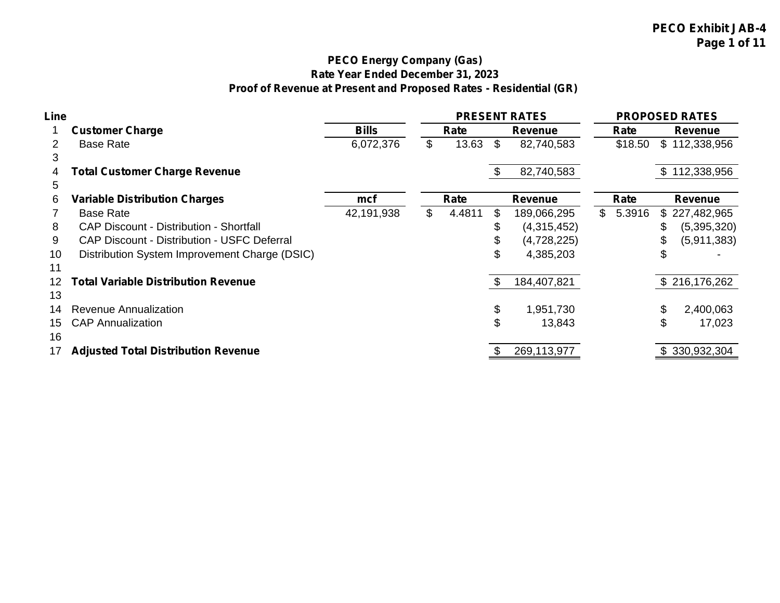# **PECO Energy Company (Gas) Rate Year Ended December 31, 2023 Proof of Revenue at Present and Proposed Rates - Residential (GR)**

| Line                  |                                                |              |              | <b>PRESENT RATES</b> |          |              | <b>PROPOSED RATES</b> |
|-----------------------|------------------------------------------------|--------------|--------------|----------------------|----------|--------------|-----------------------|
|                       | <b>Customer Charge</b>                         | <b>Bills</b> | Rate         | <b>Revenue</b>       | Rate     |              | <b>Revenue</b>        |
| $\mathbf{2}^{\prime}$ | <b>Base Rate</b>                               | 6,072,376    | \$<br>13.63  | \$<br>82,740,583     | \$18.50  | $\mathbb{S}$ | 112,338,956           |
| 3                     |                                                |              |              |                      |          |              |                       |
| 4                     | <b>Total Customer Charge Revenue</b>           |              |              | 82,740,583           |          |              | \$112,338,956         |
| 5                     |                                                |              |              |                      |          |              |                       |
| 6                     | <b>Variable Distribution Charges</b>           | mcf          | Rate         | <b>Revenue</b>       | Rate     |              | <b>Revenue</b>        |
|                       | <b>Base Rate</b>                               | 42,191,938   | \$<br>4.4811 | \$<br>189,066,295    | \$5.3916 |              | \$227,482,965         |
| 8                     | <b>CAP Discount - Distribution - Shortfall</b> |              |              | (4,315,452)          |          |              | (5,395,320)           |
| 9                     | CAP Discount - Distribution - USFC Deferral    |              |              | (4,728,225)          |          | \$           | (5,911,383)           |
| 10                    | Distribution System Improvement Charge (DSIC)  |              |              | \$<br>4,385,203      |          | S            |                       |
| 11                    |                                                |              |              |                      |          |              |                       |
| 12                    | Total Variable Distribution Revenue            |              |              | \$<br>184,407,821    |          |              | \$216,176,262         |
| 13                    |                                                |              |              |                      |          |              |                       |
| 14                    | Revenue Annualization                          |              |              | \$<br>1,951,730      |          | \$           | 2,400,063             |
| 15                    | <b>CAP Annualization</b>                       |              |              | \$<br>13,843         |          | \$           | 17,023                |
| 16                    |                                                |              |              |                      |          |              |                       |
|                       | <b>Adjusted Total Distribution Revenue</b>     |              |              | 269,113,977          |          |              | \$330,932,304         |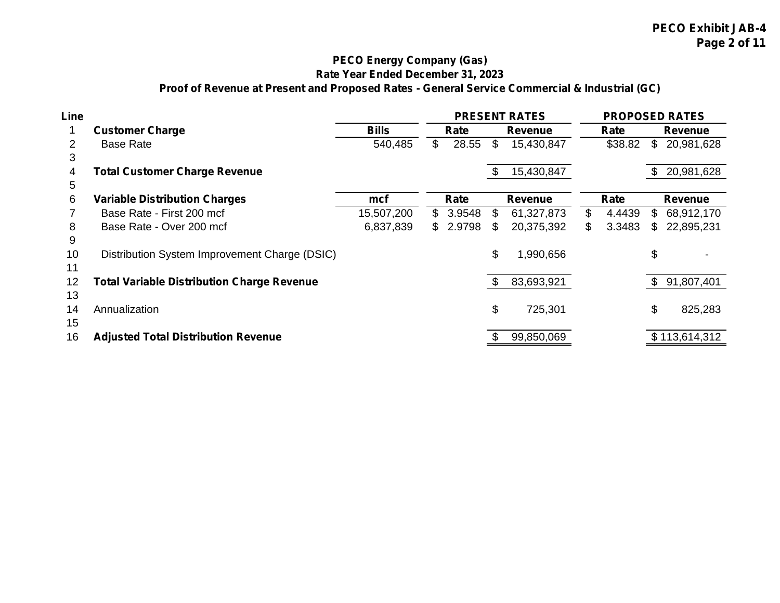# **PECO Energy Company (Gas) Rate Year Ended December 31, 2023 Proof of Revenue at Present and Proposed Rates - General Service Commercial & Industrial (GC)**

| Line |                                                   |              |          |      | <b>PRESENT RATES</b> |              |              | <b>PROPOSED RATES</b> |
|------|---------------------------------------------------|--------------|----------|------|----------------------|--------------|--------------|-----------------------|
|      | <b>Customer Charge</b>                            | <b>Bills</b> | Rate     |      | <b>Revenue</b>       | Rate         |              | Revenue               |
|      | <b>Base Rate</b>                                  | 540,485      | 28.55    | \$   | 15,430,847           | \$38.82      | $\mathbb{S}$ | 20,981,628            |
| 3    |                                                   |              |          |      |                      |              |              |                       |
| 4    | <b>Total Customer Charge Revenue</b>              |              |          | - \$ | 15,430,847           |              | \$           | 20,981,628            |
| 5    |                                                   |              |          |      |                      |              |              |                       |
| 6    | <b>Variable Distribution Charges</b>              | mcf          | Rate     |      | <b>Revenue</b>       | Rate         |              | Revenue               |
|      | Base Rate - First 200 mcf                         | 15,507,200   | \$3.9548 | \$.  | 61,327,873           | \$<br>4.4439 | \$           | 68,912,170            |
| 8    | Base Rate - Over 200 mcf                          | 6,837,839    | \$2.9798 |      | 20,375,392           | \$<br>3.3483 | \$           | 22,895,231            |
| 9    |                                                   |              |          |      |                      |              |              |                       |
| 10   | Distribution System Improvement Charge (DSIC)     |              |          | \$   | 1,990,656            |              | \$           |                       |
| 11   |                                                   |              |          |      |                      |              |              |                       |
| 12   | <b>Total Variable Distribution Charge Revenue</b> |              |          | - \$ | 83,693,921           |              | -\$          | 91,807,401            |
| 13   |                                                   |              |          |      |                      |              |              |                       |
| 14   | Annualization                                     |              |          | \$   | 725,301              |              | \$           | 825,283               |
| 15   |                                                   |              |          |      |                      |              |              |                       |
| 16   | <b>Adjusted Total Distribution Revenue</b>        |              |          |      | 99,850,069           |              |              | \$113,614,312         |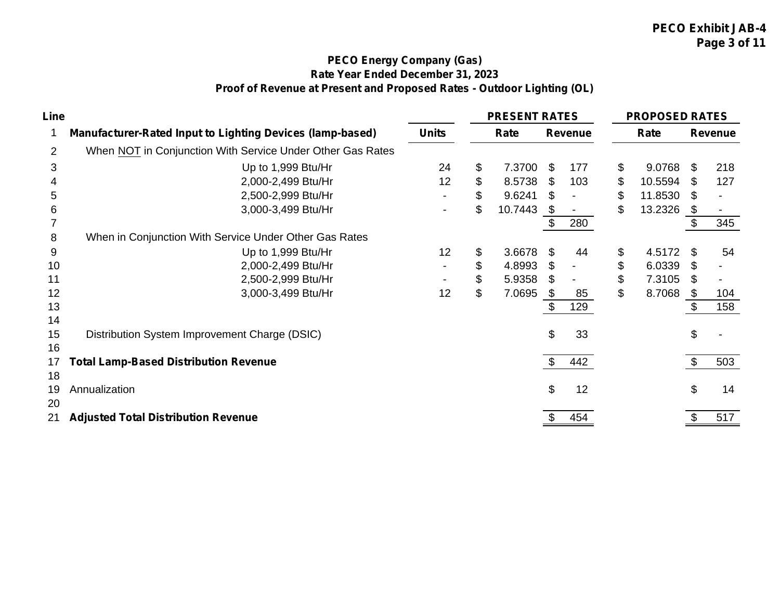# **PECO Energy Company (Gas) Rate Year Ended December 31, 2023 Proof of Revenue at Present and Proposed Rates - Outdoor Lighting (OL)**

| Line           |                                                                  |                | <b>PRESENT RATES</b> |     |                | <b>PROPOSED RATES</b> |      |                |
|----------------|------------------------------------------------------------------|----------------|----------------------|-----|----------------|-----------------------|------|----------------|
|                | <b>Manufacturer-Rated Input to Lighting Devices (lamp-based)</b> | <b>Units</b>   | Rate                 |     | <b>Revenue</b> | Rate                  |      | <b>Revenue</b> |
| $\overline{2}$ | When NOT in Conjunction With Service Under Other Gas Rates       |                |                      |     |                |                       |      |                |
| 3              | Up to 1,999 Btu/Hr                                               | 24             | \$<br>7.3700         | -\$ | 177            | \$<br>9.0768          | - \$ | 218            |
|                | 2,000-2,499 Btu/Hr                                               | 12             | \$<br>8.5738         | -S  | 103            | \$<br>10.5594         | \$   | 127            |
| 5              | 2,500-2,999 Btu/Hr                                               |                | \$<br>9.6241         |     |                | \$<br>11.8530         | \$   |                |
| 6              | 3,000-3,499 Btu/Hr                                               | $\blacksquare$ | \$<br>10.7443        |     |                | \$<br>13.2326         | S.   |                |
|                |                                                                  |                |                      |     | 280            |                       |      | 345            |
| 8              | When in Conjunction With Service Under Other Gas Rates           |                |                      |     |                |                       |      |                |
| 9              | Up to 1,999 Btu/Hr                                               | 12             | \$<br>3.6678         | \$. | 44             | \$<br>4.5172          | -S   | 54             |
| 10             | 2,000-2,499 Btu/Hr                                               |                | \$<br>4.8993         | \$. |                | \$<br>6.0339          | \$   |                |
| 11             | 2,500-2,999 Btu/Hr                                               |                | \$<br>5.9358         | SS. |                | \$<br>7.3105          | S.   |                |
| 12             | 3,000-3,499 Btu/Hr                                               | 12             | \$<br>7.0695         | -SS | 85             | \$<br>8.7068          | - \$ | 104            |
| 13             |                                                                  |                |                      |     | 129            |                       |      | 158            |
| 14             |                                                                  |                |                      |     |                |                       |      |                |
| 15             | Distribution System Improvement Charge (DSIC)                    |                |                      | \$  | 33             |                       | \$   |                |
| 16             |                                                                  |                |                      |     |                |                       |      |                |
| 17             | <b>Total Lamp-Based Distribution Revenue</b>                     |                |                      |     | 442            |                       |      | 503            |
| 18             |                                                                  |                |                      |     |                |                       |      |                |
| 19             | Annualization                                                    |                |                      | \$  | 12             |                       | \$   | 14             |
| 20             |                                                                  |                |                      |     |                |                       |      |                |
| 21             | <b>Adjusted Total Distribution Revenue</b>                       |                |                      |     | 454            |                       |      | 517            |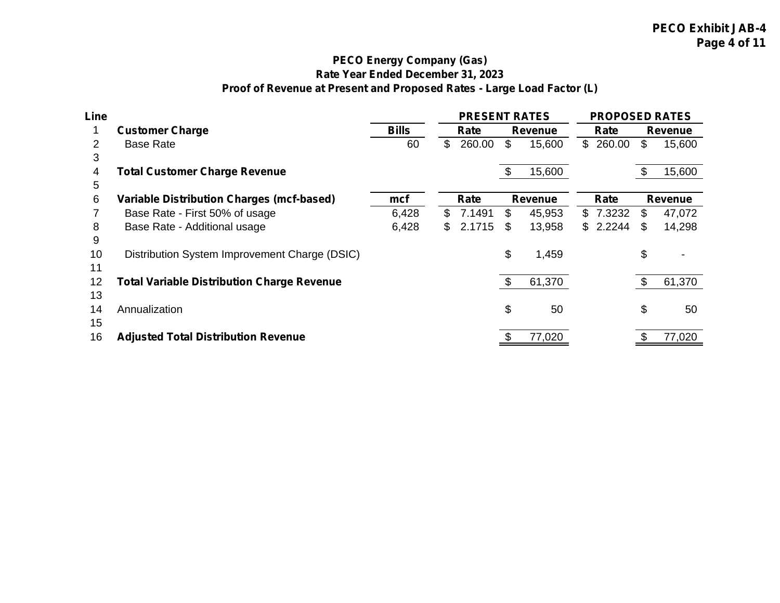# **PECO Energy Company (Gas) Rate Year Ended December 31, 2023 Proof of Revenue at Present and Proposed Rates - Large Load Factor (L)**

| Line |                                                   |              |                | <b>PRESENT RATES</b> |     |                | <b>PROPOSED RATES</b> |     |                |
|------|---------------------------------------------------|--------------|----------------|----------------------|-----|----------------|-----------------------|-----|----------------|
|      | <b>Customer Charge</b>                            | <b>Bills</b> |                | Rate                 |     | Revenue        | Rate                  |     | Revenue        |
|      | <b>Base Rate</b>                                  | 60           | $\mathbb{S}^-$ | 260.00               | \$  | 15,600         | \$260.00              | \$  | 15,600         |
| 3    |                                                   |              |                |                      |     |                |                       |     |                |
| 4    | <b>Total Customer Charge Revenue</b>              |              |                |                      |     | 15,600         |                       | Ъ   | 15,600         |
| 5    |                                                   |              |                |                      |     |                |                       |     |                |
| 6    | <b>Variable Distribution Charges (mcf-based)</b>  | mcf          |                | Rate                 |     | <b>Revenue</b> | Rate                  |     | <b>Revenue</b> |
|      | Base Rate - First 50% of usage                    | 6,428        |                | \$7.1491             | \$. | 45,953         | \$7.3232              | \$. | 47,072         |
| 8    | Base Rate - Additional usage                      | 6,428        | S.             | 2.1715               | \$. | 13,958         | \$2.2244              | S   | 14,298         |
| 9    |                                                   |              |                |                      |     |                |                       |     |                |
| 10   | Distribution System Improvement Charge (DSIC)     |              |                |                      | \$  | 1,459          |                       | \$  |                |
| 11   |                                                   |              |                |                      |     |                |                       |     |                |
| 12   | <b>Total Variable Distribution Charge Revenue</b> |              |                |                      |     | 61,370         |                       | \$. | 61,370         |
| 13   |                                                   |              |                |                      |     |                |                       |     |                |
| 14   | Annualization                                     |              |                |                      | \$  | 50             |                       | \$  | 50             |
| 15   |                                                   |              |                |                      |     |                |                       |     |                |
| 16   | <b>Adjusted Total Distribution Revenue</b>        |              |                |                      |     | 77,020         |                       |     | 77,020         |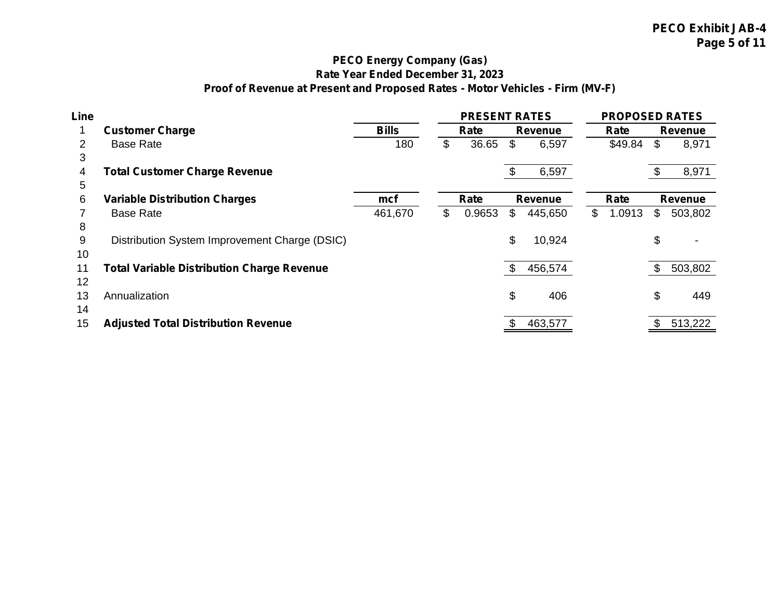# **PECO Energy Company (Gas) Rate Year Ended December 31, 2023 Proof of Revenue at Present and Proposed Rates - Motor Vehicles - Firm (MV-F)**

| Line |                                                   |              | <b>PRESENT RATES</b> |                | <b>PROPOSED RATES</b> |               |
|------|---------------------------------------------------|--------------|----------------------|----------------|-----------------------|---------------|
|      | <b>Customer Charge</b>                            | <b>Bills</b> | Rate                 | Revenue        | Rate                  | Revenue       |
| 2    | <b>Base Rate</b>                                  | 180          | \$<br>36.65          | \$<br>6,597    | \$49.84               | \$<br>8,971   |
| 3    |                                                   |              |                      |                |                       |               |
| 4    | <b>Total Customer Charge Revenue</b>              |              |                      | 6,597          |                       | 8,971         |
| 5    |                                                   |              |                      |                |                       |               |
| 6    | <b>Variable Distribution Charges</b>              | mcf          | Rate                 | <b>Revenue</b> | Rate                  | Revenue       |
|      | <b>Base Rate</b>                                  | 461,670      | \$<br>0.9653         | \$<br>445,650  | \$<br>1.0913          | \$<br>503,802 |
| 8    |                                                   |              |                      |                |                       |               |
| 9    | Distribution System Improvement Charge (DSIC)     |              |                      | \$<br>10,924   |                       | \$            |
| 10   |                                                   |              |                      |                |                       |               |
| 11   | <b>Total Variable Distribution Charge Revenue</b> |              |                      | 456,574        |                       | 503,802       |
| 12   |                                                   |              |                      |                |                       |               |
| 13   | Annualization                                     |              |                      | \$<br>406      |                       | \$<br>449     |
| 14   |                                                   |              |                      |                |                       |               |
| 15   | <b>Adjusted Total Distribution Revenue</b>        |              |                      | 463,577        |                       | 513,222       |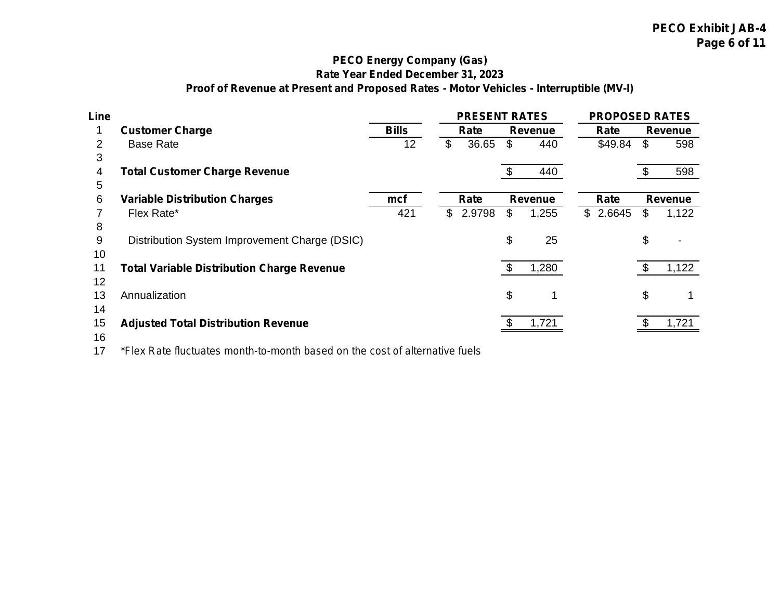## **PECO Energy Company (Gas) Rate Year Ended December 31, 2023 Proof of Revenue at Present and Proposed Rates - Motor Vehicles - Interruptible (MV-I)**

| Line |                                                   |              |              | <b>PRESENT RATES</b> |      |                | <b>PROPOSED RATES</b> |                |
|------|---------------------------------------------------|--------------|--------------|----------------------|------|----------------|-----------------------|----------------|
|      | <b>Customer Charge</b>                            | <b>Bills</b> |              | Rate                 |      | <b>Revenue</b> | Rate                  | <b>Revenue</b> |
|      | <b>Base Rate</b>                                  | 12           | \$           | 36.65                | \$   | 440            | \$49.84               | \$<br>598      |
| 3    |                                                   |              |              |                      |      |                |                       |                |
| 4    | <b>Total Customer Charge Revenue</b>              |              |              |                      | - \$ | 440            |                       | 598            |
| 5    |                                                   |              |              |                      |      |                |                       |                |
| 6    | <b>Variable Distribution Charges</b>              | mcf          |              | Rate                 |      | Revenue        | Rate                  | <b>Revenue</b> |
|      | Flex Rate*                                        | 421          | $\mathbb{S}$ | 2.9798               | \$   | 1,255          | \$2.6645              | \$<br>1,122    |
| 8    |                                                   |              |              |                      |      |                |                       |                |
| 9    | Distribution System Improvement Charge (DSIC)     |              |              |                      | \$   | 25             |                       | \$<br>۰        |
| 10   |                                                   |              |              |                      |      |                |                       |                |
| 11   | <b>Total Variable Distribution Charge Revenue</b> |              |              |                      |      | 1,280          |                       | 1,122          |
| 12   |                                                   |              |              |                      |      |                |                       |                |
| 13   | Annualization                                     |              |              |                      | \$   |                |                       | \$<br>1        |
| 14   |                                                   |              |              |                      |      |                |                       |                |
| 15   | <b>Adjusted Total Distribution Revenue</b>        |              |              |                      |      | 1,721          |                       | 1,721          |
| 16   |                                                   |              |              |                      |      |                |                       |                |

*\*Flex Rate fluctuates month-to-month based on the cost of alternative fuels*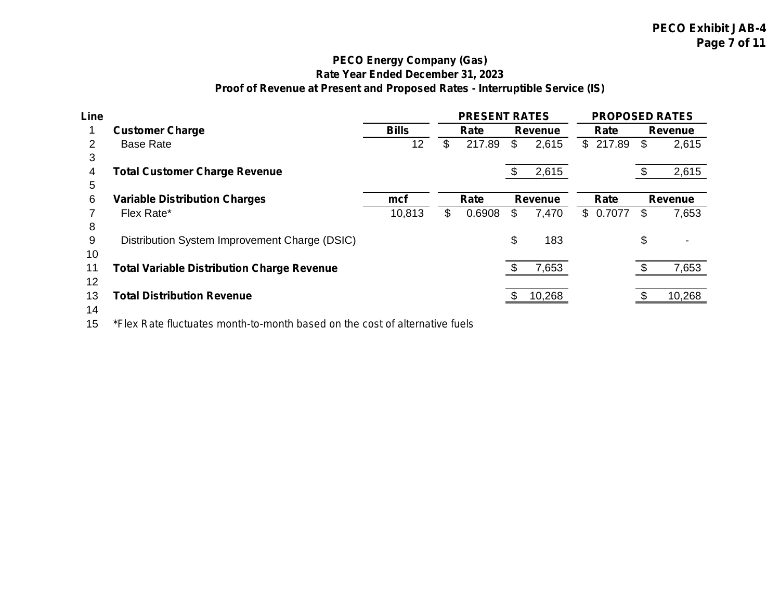## **PECO Energy Company (Gas) Rate Year Ended December 31, 2023 Proof of Revenue at Present and Proposed Rates - Interruptible Service (IS)**

| Line |                                                   |              | <b>PRESENT RATES</b> |    |                | <b>PROPOSED RATES</b> |             |
|------|---------------------------------------------------|--------------|----------------------|----|----------------|-----------------------|-------------|
|      | <b>Customer Charge</b>                            | <b>Bills</b> | Rate                 |    | Revenue        | Rate                  | Revenue     |
| 2    | <b>Base Rate</b>                                  | 12           | \$<br>217.89         | \$ | 2,615          | \$217.89              | \$<br>2,615 |
| 3    |                                                   |              |                      |    |                |                       |             |
| 4    | <b>Total Customer Charge Revenue</b>              |              |                      | S  | 2,615          |                       | 2,615       |
| 5    |                                                   |              |                      |    |                |                       |             |
| 6    | <b>Variable Distribution Charges</b>              | mcf          | Rate                 |    | <b>Revenue</b> | Rate                  | Revenue     |
|      | Flex Rate*                                        | 10,813       | \$<br>0.6908         | \$ | 7,470          | \$0.7077              | \$<br>7,653 |
| 8    |                                                   |              |                      |    |                |                       |             |
| 9    | Distribution System Improvement Charge (DSIC)     |              |                      | \$ | 183            |                       | \$<br>٠     |
| 10   |                                                   |              |                      |    |                |                       |             |
| 11   | <b>Total Variable Distribution Charge Revenue</b> |              |                      |    | 7,653          |                       | 7,653       |
| 12   |                                                   |              |                      |    |                |                       |             |
| 13   | <b>Total Distribution Revenue</b>                 |              |                      |    | 10,268         |                       | 10,268      |
| 14   |                                                   |              |                      |    |                |                       |             |

*\*Flex Rate fluctuates month-to-month based on the cost of alternative fuels*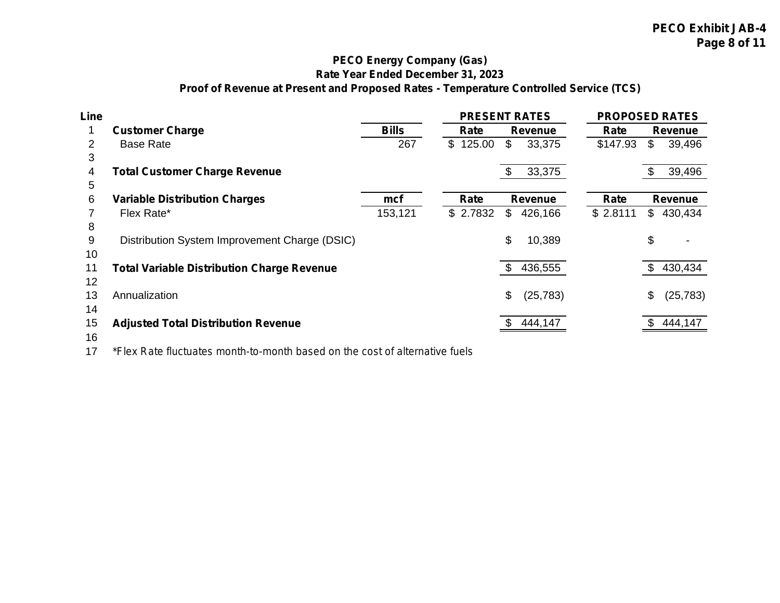## **PECO Energy Company (Gas) Rate Year Ended December 31, 2023 Proof of Revenue at Present and Proposed Rates - Temperature Controlled Service (TCS)**

| Line |                                                   |              | <b>PRESENT RATES</b> |      |                | <b>PROPOSED RATES</b> |     |           |
|------|---------------------------------------------------|--------------|----------------------|------|----------------|-----------------------|-----|-----------|
|      | <b>Customer Charge</b>                            | <b>Bills</b> | Rate                 |      | Revenue        | Rate                  |     | Revenue   |
| 2    | <b>Base Rate</b>                                  | 267          | \$125.00             | \$   | 33,375         | \$147.93              | \$  | 39,496    |
| 3    |                                                   |              |                      |      |                |                       |     |           |
| 4    | <b>Total Customer Charge Revenue</b>              |              |                      | - \$ | 33,375         |                       |     | 39,496    |
| 5    |                                                   |              |                      |      |                |                       |     |           |
| 6    | <b>Variable Distribution Charges</b>              | mcf          | Rate                 |      | <b>Revenue</b> | Rate                  |     | Revenue   |
|      | Flex Rate*                                        | 153,121      | \$2.7832             | \$   | 426,166        | \$2.8111              |     | \$430,434 |
| 8    |                                                   |              |                      |      |                |                       |     |           |
| 9    | Distribution System Improvement Charge (DSIC)     |              |                      | \$   | 10,389         |                       | \$  |           |
| 10   |                                                   |              |                      |      |                |                       |     |           |
| 11   | <b>Total Variable Distribution Charge Revenue</b> |              |                      | -SS  | 436,555        |                       | -SS | 430,434   |
| 12   |                                                   |              |                      |      |                |                       |     |           |
| 13   | Annualization                                     |              |                      | \$   | (25, 783)      |                       | \$  | (25, 783) |
| 14   |                                                   |              |                      |      |                |                       |     |           |
| 15   | <b>Adjusted Total Distribution Revenue</b>        |              |                      |      | 444,147        |                       |     | 444,147   |
| 16   |                                                   |              |                      |      |                |                       |     |           |

*\*Flex Rate fluctuates month-to-month based on the cost of alternative fuels*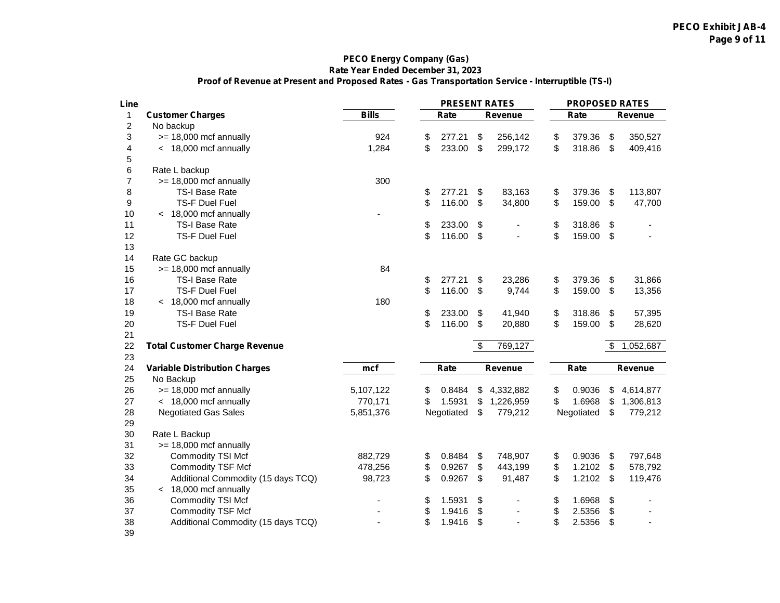#### **PECO Energy Company (Gas) Rate Year Ended December 31, 2023 Proof of Revenue at Present and Proposed Rates - Gas Transportation Service - Interruptible (TS-I)**

| Line           |                                      |              | <b>PRESENT RATES</b> |                      | <b>PROPOSED RATES</b> |                           |                |
|----------------|--------------------------------------|--------------|----------------------|----------------------|-----------------------|---------------------------|----------------|
| $\mathbf{1}$   | <b>Customer Charges</b>              | <b>Bills</b> | Rate                 | Revenue              | Rate                  |                           | Revenue        |
| 2              | No backup                            |              |                      |                      |                       |                           |                |
| 3              | $>= 18,000$ mcf annually             | 924          | \$<br>277.21         | \$<br>256,142        | \$<br>379.36          | \$                        | 350,527        |
| 4              | < 18,000 mcf annually                | 1,284        | \$<br>233.00         | \$<br>299,172        | \$<br>318.86          | \$                        | 409,416        |
| 5              |                                      |              |                      |                      |                       |                           |                |
| 6              | Rate L backup                        |              |                      |                      |                       |                           |                |
| $\overline{7}$ | $>= 18,000$ mcf annually             | 300          |                      |                      |                       |                           |                |
| 8              | <b>TS-I Base Rate</b>                |              | \$<br>277.21         | \$<br>83,163         | \$<br>379.36          | \$                        | 113,807        |
| 9              | TS-F Duel Fuel                       |              | \$<br>116.00         | \$<br>34,800         | \$<br>159.00          | $\boldsymbol{\mathsf{S}}$ | 47,700         |
| 10             | < 18,000 mcf annually                |              |                      |                      |                       |                           |                |
| 11             | <b>TS-I Base Rate</b>                |              | \$<br>233.00         | \$                   | \$<br>318.86          | \$                        |                |
| 12             | <b>TS-F Duel Fuel</b>                |              | \$<br>116.00         | \$<br>÷,             | \$<br>159.00          | \$                        |                |
| 13             |                                      |              |                      |                      |                       |                           |                |
| 14             | Rate GC backup                       |              |                      |                      |                       |                           |                |
| 15             | $>= 18,000$ mcf annually             | 84           |                      |                      |                       |                           |                |
| 16             | TS-I Base Rate                       |              | \$<br>277.21         | \$<br>23,286         | \$<br>379.36          | \$                        | 31,866         |
| 17             | <b>TS-F Duel Fuel</b>                |              | \$<br>116.00         | \$<br>9,744          | \$<br>159.00          | \$                        | 13,356         |
| 18             | < 18,000 mcf annually                | 180          |                      |                      |                       |                           |                |
| 19             | TS-I Base Rate                       |              | \$<br>233.00         | \$<br>41,940         | \$<br>318.86          | \$                        | 57,395         |
| 20             | <b>TS-F Duel Fuel</b>                |              | \$<br>116.00         | \$<br>20,880         | \$<br>159.00          | \$                        | 28,620         |
| 21             |                                      |              |                      |                      |                       |                           |                |
| 22             | <b>Total Customer Charge Revenue</b> |              |                      | \$<br>769,127        |                       | \$                        | 1,052,687      |
| 23             |                                      |              |                      |                      |                       |                           |                |
| 24             | <b>Variable Distribution Charges</b> | mcf          | Rate                 | Revenue              | Rate                  |                           | Revenue        |
| 25             | No Backup                            |              |                      |                      |                       |                           |                |
| 26             | $>= 18,000$ mcf annually             | 5,107,122    | \$<br>0.8484         | \$<br>4,332,882      | \$<br>0.9036          | \$                        | 4,614,877      |
| 27             | < 18,000 mcf annually                | 770,171      | \$<br>1.5931         | \$<br>1,226,959      | \$<br>1.6968          | \$                        | 1,306,813      |
| 28             | <b>Negotiated Gas Sales</b>          | 5,851,376    | Negotiated           | \$<br>779,212        | Negotiated            | \$                        | 779,212        |
| 29             |                                      |              |                      |                      |                       |                           |                |
| 30             | Rate L Backup                        |              |                      |                      |                       |                           |                |
| 31             | $>= 18,000$ mcf annually             |              |                      |                      |                       |                           |                |
| 32             | Commodity TSI Mcf                    | 882,729      | \$<br>0.8484         | \$<br>748,907        | \$<br>0.9036          | \$                        | 797,648        |
| 33             | <b>Commodity TSF Mcf</b>             | 478,256      | \$<br>0.9267         | \$<br>443,199        | \$<br>1.2102          | \$                        | 578,792        |
| 34             | Additional Commodity (15 days TCQ)   | 98,723       | \$<br>0.9267         | \$<br>91,487         | \$<br>1.2102          | \$                        | 119,476        |
| 35             | < 18,000 mcf annually                |              |                      |                      |                       |                           |                |
| 36             | Commodity TSI Mcf                    |              | \$<br>1.5931         | \$<br>$\overline{a}$ | \$<br>1.6968          | \$                        | $\blacksquare$ |
| 37             | <b>Commodity TSF Mcf</b>             |              | \$<br>1.9416         | \$<br>÷,             | \$<br>2.5356          | \$                        |                |
| 38             | Additional Commodity (15 days TCQ)   |              | \$<br>1.9416         | \$                   | \$<br>2.5356          | \$                        |                |
| 39             |                                      |              |                      |                      |                       |                           |                |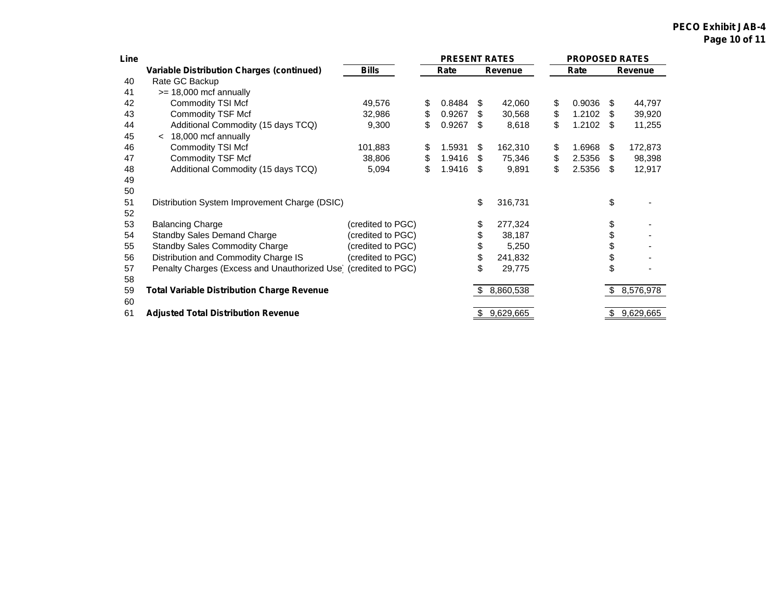#### **PECO Exhibit JAB-4 Page 10 of 11**

| Line |                                                                 |                   | <b>PRESENT RATES</b> |      |                | <b>PROPOSED RATES</b> |      |           |
|------|-----------------------------------------------------------------|-------------------|----------------------|------|----------------|-----------------------|------|-----------|
|      | <b>Variable Distribution Charges (continued)</b>                | <b>Bills</b>      | Rate                 |      | <b>Revenue</b> | Rate                  |      | Revenue   |
| 40   | Rate GC Backup                                                  |                   |                      |      |                |                       |      |           |
| 41   | $>= 18,000$ mcf annually                                        |                   |                      |      |                |                       |      |           |
| 42   | Commodity TSI Mcf                                               | 49,576            | \$<br>0.8484         | - \$ | 42,060         | \$<br>0.9036          | - \$ | 44,797    |
| 43   | <b>Commodity TSF Mcf</b>                                        | 32,986            | \$<br>0.9267         | \$.  | 30,568         | \$<br>1.2102          | - \$ | 39,920    |
| 44   | Additional Commodity (15 days TCQ)                              | 9,300             | \$<br>0.9267         | -S   | 8,618          | \$<br>1.2102          | - \$ | 11,255    |
| 45   | 18,000 mcf annually<br>$\prec$                                  |                   |                      |      |                |                       |      |           |
| 46   | Commodity TSI Mcf                                               | 101,883           | \$<br>1.5931         | S    | 162,310        | \$<br>1.6968          | - \$ | 172,873   |
| 47   | <b>Commodity TSF Mcf</b>                                        | 38,806            | \$<br>1.9416         | S    | 75,346         | \$<br>2.5356          | \$   | 98,398    |
| 48   | Additional Commodity (15 days TCQ)                              | 5,094             | \$<br>1.9416         | -SS  | 9,891          | \$<br>2.5356          | \$   | 12,917    |
| 49   |                                                                 |                   |                      |      |                |                       |      |           |
| 50   |                                                                 |                   |                      |      |                |                       |      |           |
| 51   | Distribution System Improvement Charge (DSIC)                   |                   |                      | \$   | 316,731        |                       | \$   |           |
| 52   |                                                                 |                   |                      |      |                |                       |      |           |
| 53   | <b>Balancing Charge</b>                                         | (credited to PGC) |                      | \$   | 277,324        |                       | \$   |           |
| 54   | <b>Standby Sales Demand Charge</b>                              | (credited to PGC) |                      | \$   | 38,187         |                       | \$   |           |
| 55   | <b>Standby Sales Commodity Charge</b>                           | (credited to PGC) |                      | \$   | 5,250          |                       | \$   |           |
| 56   | Distribution and Commodity Charge IS                            | (credited to PGC) |                      | \$   | 241,832        |                       | \$   |           |
| 57   | Penalty Charges (Excess and Unauthorized Use) (credited to PGC) |                   |                      | \$   | 29,775         |                       | \$   |           |
| 58   |                                                                 |                   |                      |      |                |                       |      |           |
| 59   | <b>Total Variable Distribution Charge Revenue</b>               |                   |                      | \$   | 8,860,538      |                       | \$   | 8,576,978 |
| 60   |                                                                 |                   |                      |      |                |                       |      |           |
| 61   | <b>Adjusted Total Distribution Revenue</b>                      |                   |                      | \$   | 9,629,665      |                       | \$   | 9,629,665 |